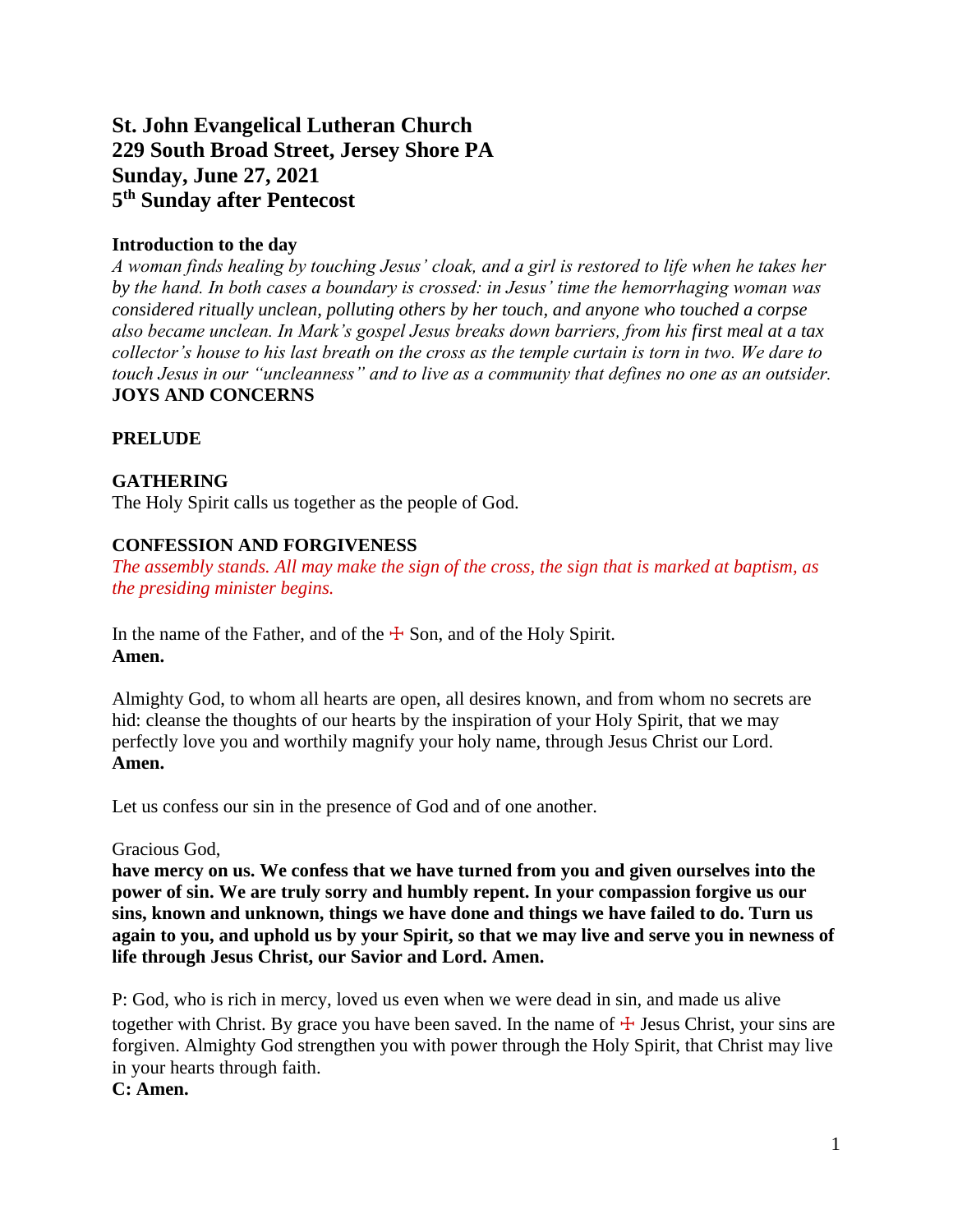# **St. John Evangelical Lutheran Church 229 South Broad Street, Jersey Shore PA Sunday, June 27, 2021 5 th Sunday after Pentecost**

### **Introduction to the day**

*A woman finds healing by touching Jesus' cloak, and a girl is restored to life when he takes her by the hand. In both cases a boundary is crossed: in Jesus' time the hemorrhaging woman was considered ritually unclean, polluting others by her touch, and anyone who touched a corpse also became unclean. In Mark's gospel Jesus breaks down barriers, from his first meal at a tax collector's house to his last breath on the cross as the temple curtain is torn in two. We dare to touch Jesus in our "uncleanness" and to live as a community that defines no one as an outsider.* **JOYS AND CONCERNS**

### **PRELUDE**

### **GATHERING**

The Holy Spirit calls us together as the people of God.

### **CONFESSION AND FORGIVENESS**

*The assembly stands. All may make the sign of the cross, the sign that is marked at baptism, as the presiding minister begins.*

In the name of the Father, and of the  $\pm$  Son, and of the Holy Spirit. **Amen.**

Almighty God, to whom all hearts are open, all desires known, and from whom no secrets are hid: cleanse the thoughts of our hearts by the inspiration of your Holy Spirit, that we may perfectly love you and worthily magnify your holy name, through Jesus Christ our Lord. **Amen.**

Let us confess our sin in the presence of God and of one another.

Gracious God,

**have mercy on us. We confess that we have turned from you and given ourselves into the power of sin. We are truly sorry and humbly repent. In your compassion forgive us our sins, known and unknown, things we have done and things we have failed to do. Turn us again to you, and uphold us by your Spirit, so that we may live and serve you in newness of life through Jesus Christ, our Savior and Lord. Amen.**

P: God, who is rich in mercy, loved us even when we were dead in sin, and made us alive together with Christ. By grace you have been saved. In the name of  $\pm$  Jesus Christ, your sins are forgiven. Almighty God strengthen you with power through the Holy Spirit, that Christ may live in your hearts through faith.

**C: Amen.**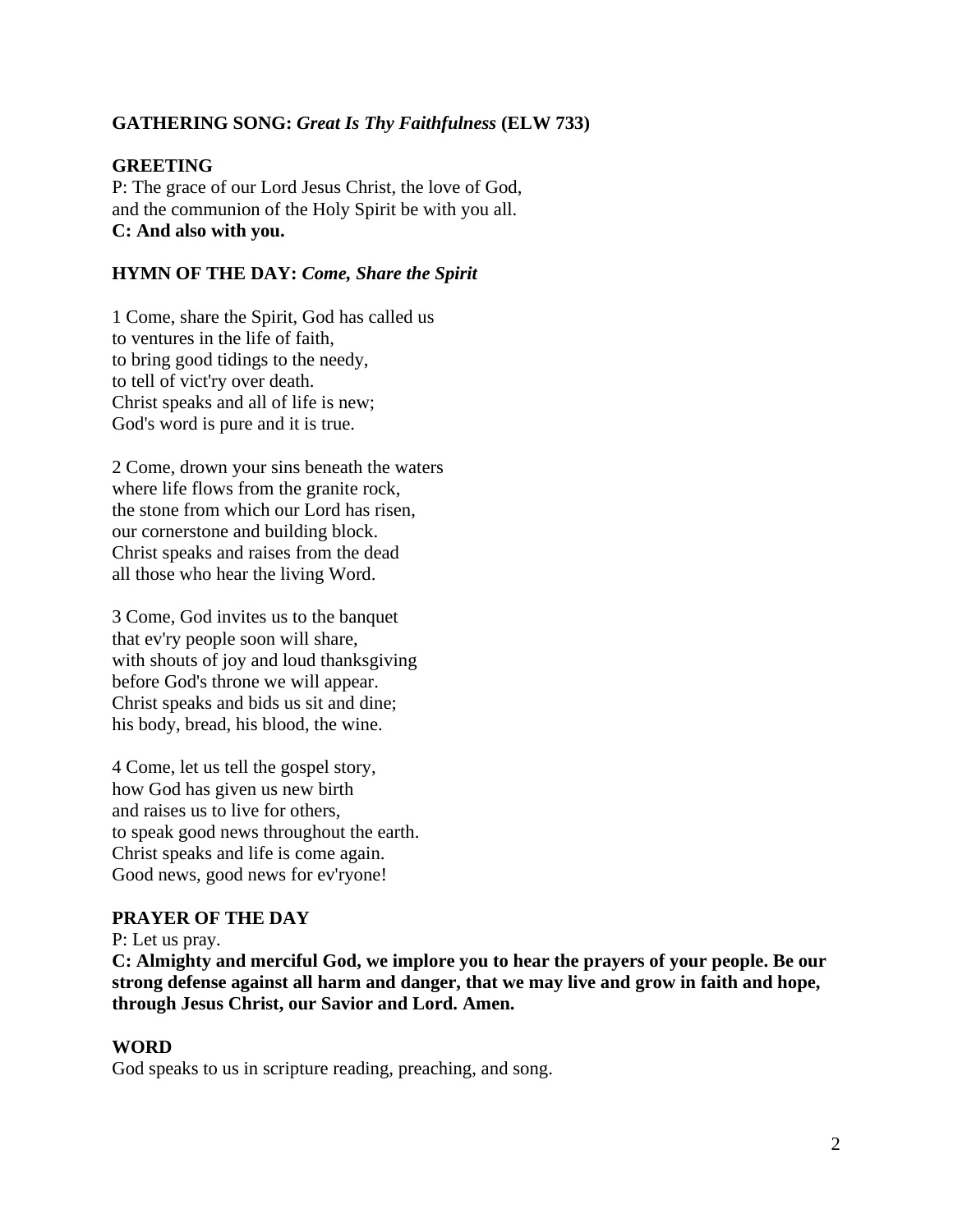### **GATHERING SONG:** *Great Is Thy Faithfulness* **(ELW 733)**

#### **GREETING**

P: The grace of our Lord Jesus Christ, the love of God, and the communion of the Holy Spirit be with you all. **C: And also with you.**

#### **HYMN OF THE DAY:** *Come, Share the Spirit*

1 Come, share the Spirit, God has called us to ventures in the life of faith, to bring good tidings to the needy, to tell of vict'ry over death. Christ speaks and all of life is new; God's word is pure and it is true.

2 Come, drown your sins beneath the waters where life flows from the granite rock, the stone from which our Lord has risen, our cornerstone and building block. Christ speaks and raises from the dead all those who hear the living Word.

3 Come, God invites us to the banquet that ev'ry people soon will share, with shouts of joy and loud thanksgiving before God's throne we will appear. Christ speaks and bids us sit and dine; his body, bread, his blood, the wine.

4 Come, let us tell the gospel story, how God has given us new birth and raises us to live for others, to speak good news throughout the earth. Christ speaks and life is come again. Good news, good news for ev'ryone!

### **PRAYER OF THE DAY**

P: Let us pray.

**C: Almighty and merciful God, we implore you to hear the prayers of your people. Be our strong defense against all harm and danger, that we may live and grow in faith and hope, through Jesus Christ, our Savior and Lord. Amen.**

#### **WORD**

God speaks to us in scripture reading, preaching, and song.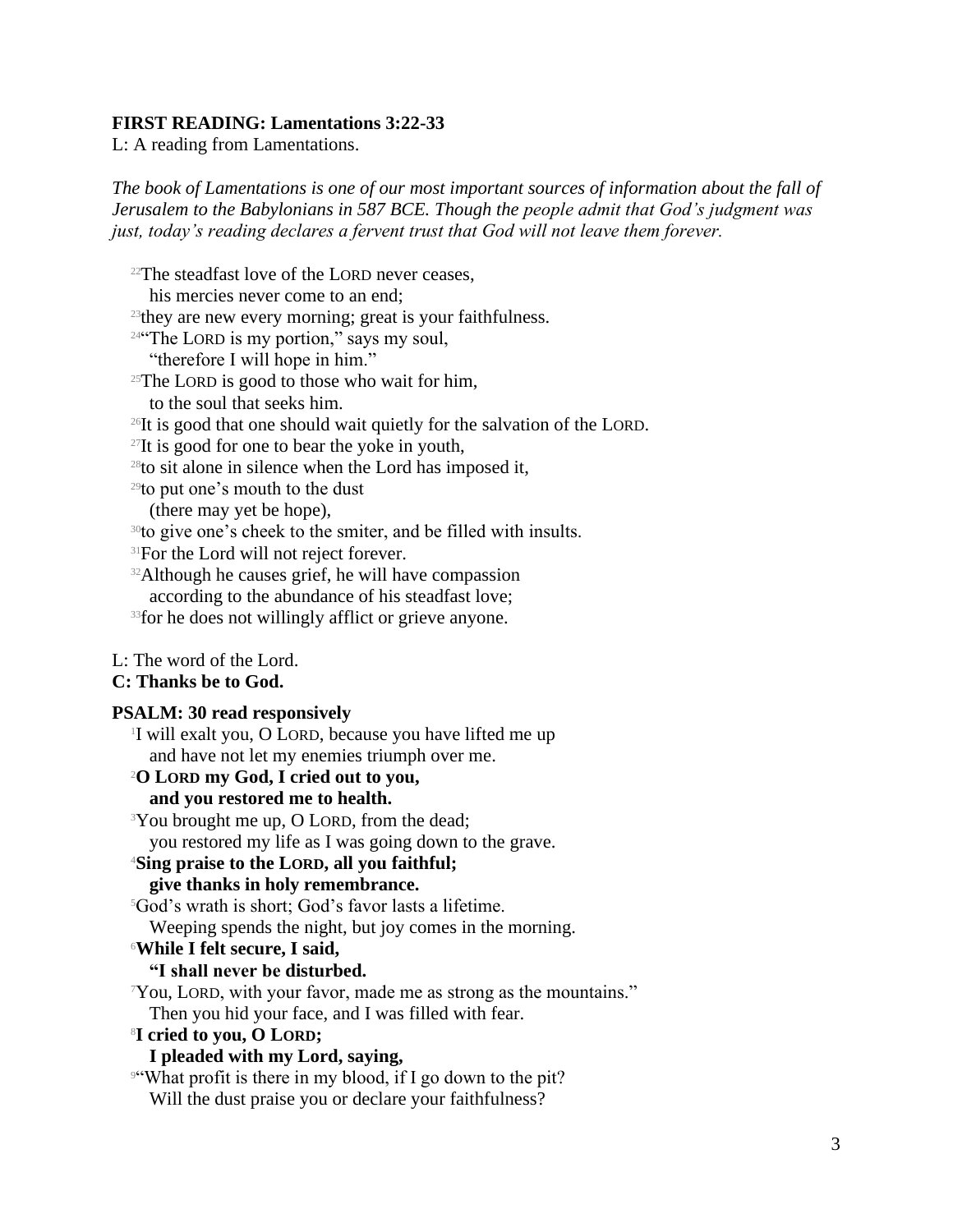#### **FIRST READING: Lamentations 3:22-33**

L: A reading from Lamentations.

*The book of Lamentations is one of our most important sources of information about the fall of Jerusalem to the Babylonians in 587 BCE. Though the people admit that God's judgment was just, today's reading declares a fervent trust that God will not leave them forever.*

<sup>22</sup>The steadfast love of the LORD never ceases,

his mercies never come to an end;

<sup>23</sup>they are new every morning; great is your faithfulness.

 $24$ "The LORD is my portion," says my soul,

"therefore I will hope in him."

 $25$ The LORD is good to those who wait for him,

to the soul that seeks him.

<sup>26</sup>It is good that one should wait quietly for the salvation of the LORD.

 $27$ It is good for one to bear the yoke in youth,

 $28$ to sit alone in silence when the Lord has imposed it,

<sup>29</sup>to put one's mouth to the dust

(there may yet be hope),

<sup>30</sup>to give one's cheek to the smiter, and be filled with insults.

<sup>31</sup>For the Lord will not reject forever.

<sup>32</sup>Although he causes grief, he will have compassion according to the abundance of his steadfast love;

<sup>33</sup> for he does not willingly afflict or grieve anyone.

#### L: The word of the Lord.

#### **C: Thanks be to God.**

#### **PSALM: 30 read responsively**

1 I will exalt you, O LORD, because you have lifted me up and have not let my enemies triumph over me.

<sup>2</sup>**O LORD my God, I cried out to you,**

# **and you restored me to health.**

<sup>3</sup>You brought me up, O LORD, from the dead;

you restored my life as I was going down to the grave.

#### <sup>4</sup>**Sing praise to the LORD, all you faithful;**

#### **give thanks in holy remembrance.**

<sup>5</sup>God's wrath is short; God's favor lasts a lifetime.

Weeping spends the night, but joy comes in the morning.

#### <sup>6</sup>**While I felt secure, I said,**

### **"I shall never be disturbed.**

<sup>7</sup>You, LORD, with your favor, made me as strong as the mountains." Then you hid your face, and I was filled with fear.

#### <sup>8</sup>**I cried to you, O LORD;**

### **I pleaded with my Lord, saying,**

<sup>9"</sup>What profit is there in my blood, if I go down to the pit? Will the dust praise you or declare your faithfulness?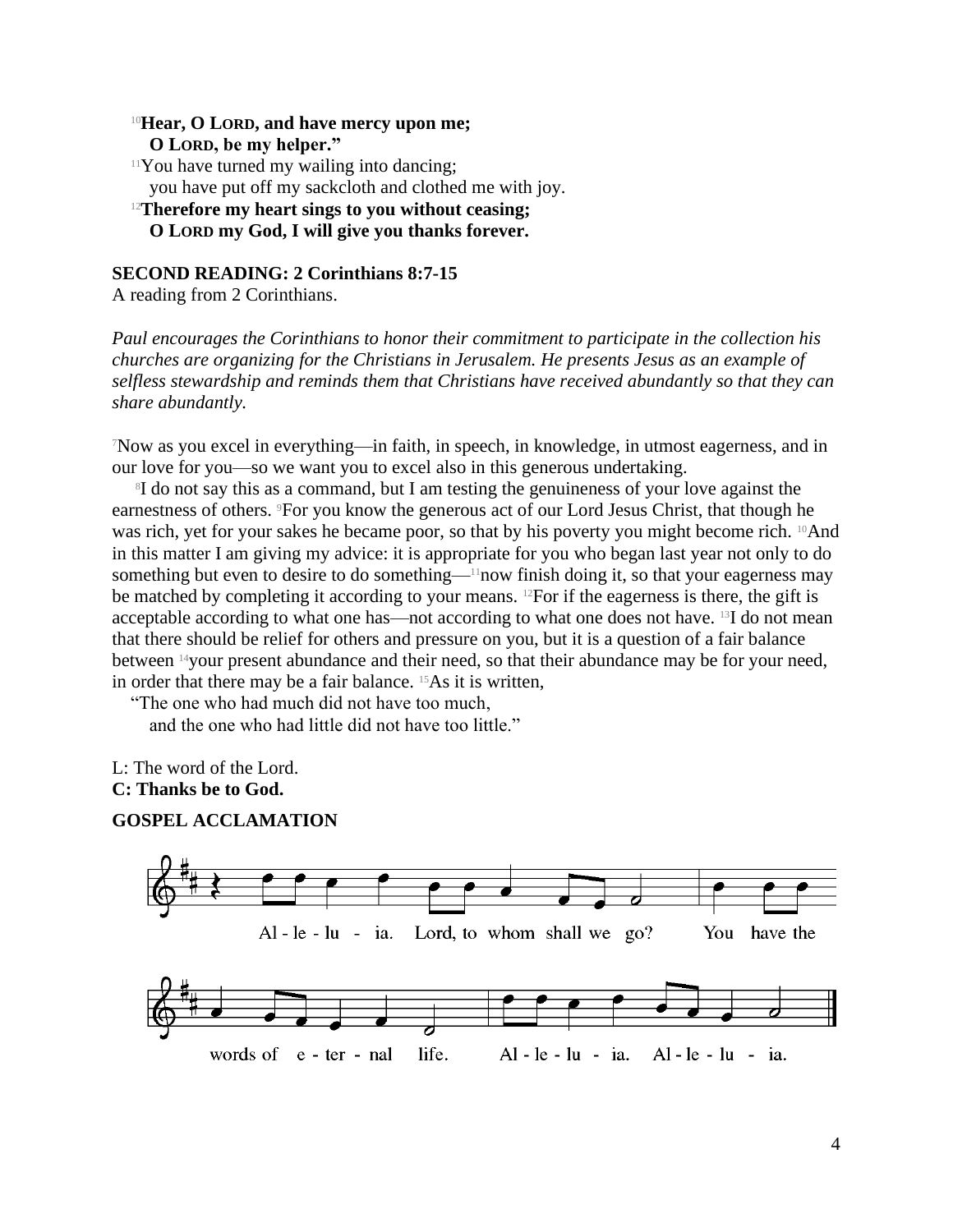### <sup>10</sup>**Hear, O LORD, and have mercy upon me; O LORD, be my helper."**

 $11$ You have turned my wailing into dancing; you have put off my sackcloth and clothed me with joy.

# <sup>12</sup>**Therefore my heart sings to you without ceasing; O LORD my God, I will give you thanks forever.**

### **SECOND READING: 2 Corinthians 8:7-15**

A reading from 2 Corinthians.

*Paul encourages the Corinthians to honor their commitment to participate in the collection his churches are organizing for the Christians in Jerusalem. He presents Jesus as an example of selfless stewardship and reminds them that Christians have received abundantly so that they can share abundantly.*

<sup>7</sup>Now as you excel in everything—in faith, in speech, in knowledge, in utmost eagerness, and in our love for you—so we want you to excel also in this generous undertaking.

8 I do not say this as a command, but I am testing the genuineness of your love against the earnestness of others. 9For you know the generous act of our Lord Jesus Christ, that though he was rich, yet for your sakes he became poor, so that by his poverty you might become rich. <sup>10</sup>And in this matter I am giving my advice: it is appropriate for you who began last year not only to do something but even to desire to do something—<sup>11</sup>now finish doing it, so that your eagerness may be matched by completing it according to your means. <sup>12</sup>For if the eagerness is there, the gift is acceptable according to what one has—not according to what one does not have. 13I do not mean that there should be relief for others and pressure on you, but it is a question of a fair balance between 14your present abundance and their need, so that their abundance may be for your need, in order that there may be a fair balance. 15As it is written,

"The one who had much did not have too much,

and the one who had little did not have too little."

L: The word of the Lord.

### **C: Thanks be to God.**

### **GOSPEL ACCLAMATION**

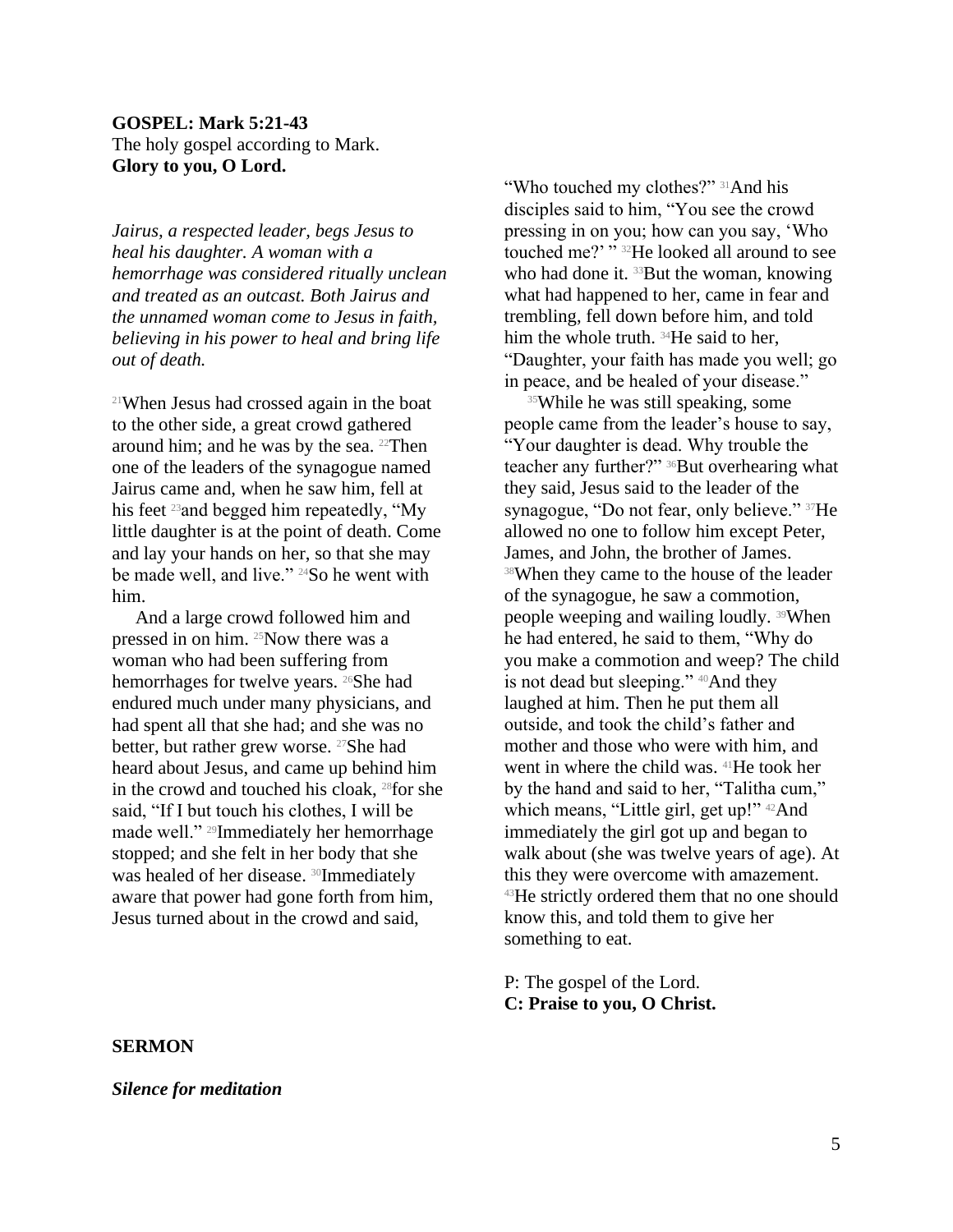### **GOSPEL: Mark 5:21-43** The holy gospel according to Mark. **Glory to you, O Lord.**

*Jairus, a respected leader, begs Jesus to heal his daughter. A woman with a hemorrhage was considered ritually unclean and treated as an outcast. Both Jairus and the unnamed woman come to Jesus in faith, believing in his power to heal and bring life out of death.*

<sup>21</sup>When Jesus had crossed again in the boat to the other side, a great crowd gathered around him; and he was by the sea.  $22$ Then one of the leaders of the synagogue named Jairus came and, when he saw him, fell at his feet <sup>23</sup> and begged him repeatedly, "My little daughter is at the point of death. Come and lay your hands on her, so that she may be made well, and live." <sup>24</sup>So he went with him.

And a large crowd followed him and pressed in on him. 25Now there was a woman who had been suffering from hemorrhages for twelve years. <sup>26</sup>She had endured much under many physicians, and had spent all that she had; and she was no better, but rather grew worse. <sup>27</sup>She had heard about Jesus, and came up behind him in the crowd and touched his cloak, 28for she said, "If I but touch his clothes, I will be made well." 29Immediately her hemorrhage stopped; and she felt in her body that she was healed of her disease. <sup>30</sup>Immediately aware that power had gone forth from him, Jesus turned about in the crowd and said,

"Who touched my clothes?" <sup>31</sup>And his disciples said to him, "You see the crowd pressing in on you; how can you say, 'Who touched me?' "<sup>32</sup>He looked all around to see who had done it. <sup>33</sup>But the woman, knowing what had happened to her, came in fear and trembling, fell down before him, and told him the whole truth. <sup>34</sup>He said to her, "Daughter, your faith has made you well; go in peace, and be healed of your disease."

<sup>35</sup>While he was still speaking, some people came from the leader's house to say, "Your daughter is dead. Why trouble the teacher any further?" <sup>36</sup>But overhearing what they said, Jesus said to the leader of the synagogue, "Do not fear, only believe." 37He allowed no one to follow him except Peter, James, and John, the brother of James. <sup>38</sup>When they came to the house of the leader of the synagogue, he saw a commotion, people weeping and wailing loudly. 39When he had entered, he said to them, "Why do you make a commotion and weep? The child is not dead but sleeping." <sup>40</sup>And they laughed at him. Then he put them all outside, and took the child's father and mother and those who were with him, and went in where the child was. 41He took her by the hand and said to her, "Talitha cum," which means, "Little girl, get up!" <sup>42</sup>And immediately the girl got up and began to walk about (she was twelve years of age). At this they were overcome with amazement. <sup>43</sup>He strictly ordered them that no one should know this, and told them to give her something to eat.

P: The gospel of the Lord. **C: Praise to you, O Christ.**

#### **SERMON**

*Silence for meditation*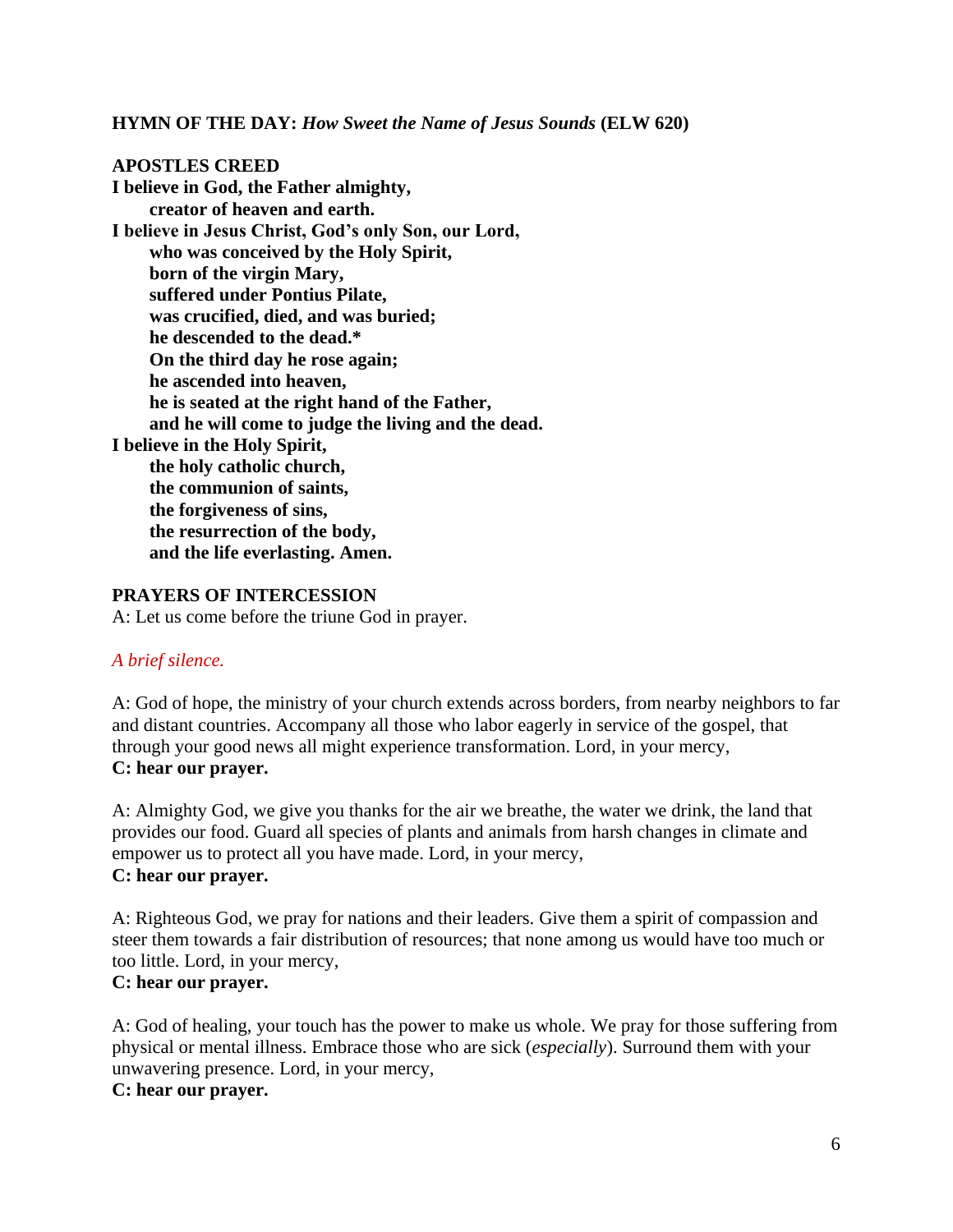**HYMN OF THE DAY:** *How Sweet the Name of Jesus Sounds* **(ELW 620)**

# **APOSTLES CREED**

**I believe in God, the Father almighty, creator of heaven and earth. I believe in Jesus Christ, God's only Son, our Lord, who was conceived by the Holy Spirit, born of the virgin Mary, suffered under Pontius Pilate, was crucified, died, and was buried; he descended to the dead.\* On the third day he rose again; he ascended into heaven, he is seated at the right hand of the Father, and he will come to judge the living and the dead. I believe in the Holy Spirit, the holy catholic church, the communion of saints, the forgiveness of sins, the resurrection of the body, and the life everlasting. Amen.**

#### **PRAYERS OF INTERCESSION**

A: Let us come before the triune God in prayer.

### *A brief silence.*

A: God of hope, the ministry of your church extends across borders, from nearby neighbors to far and distant countries. Accompany all those who labor eagerly in service of the gospel, that through your good news all might experience transformation. Lord, in your mercy, **C: hear our prayer.**

A: Almighty God, we give you thanks for the air we breathe, the water we drink, the land that provides our food. Guard all species of plants and animals from harsh changes in climate and empower us to protect all you have made. Lord, in your mercy, **C: hear our prayer.**

A: Righteous God, we pray for nations and their leaders. Give them a spirit of compassion and steer them towards a fair distribution of resources; that none among us would have too much or too little. Lord, in your mercy,

### **C: hear our prayer.**

A: God of healing, your touch has the power to make us whole. We pray for those suffering from physical or mental illness. Embrace those who are sick (*especially*). Surround them with your unwavering presence. Lord, in your mercy,

# **C: hear our prayer.**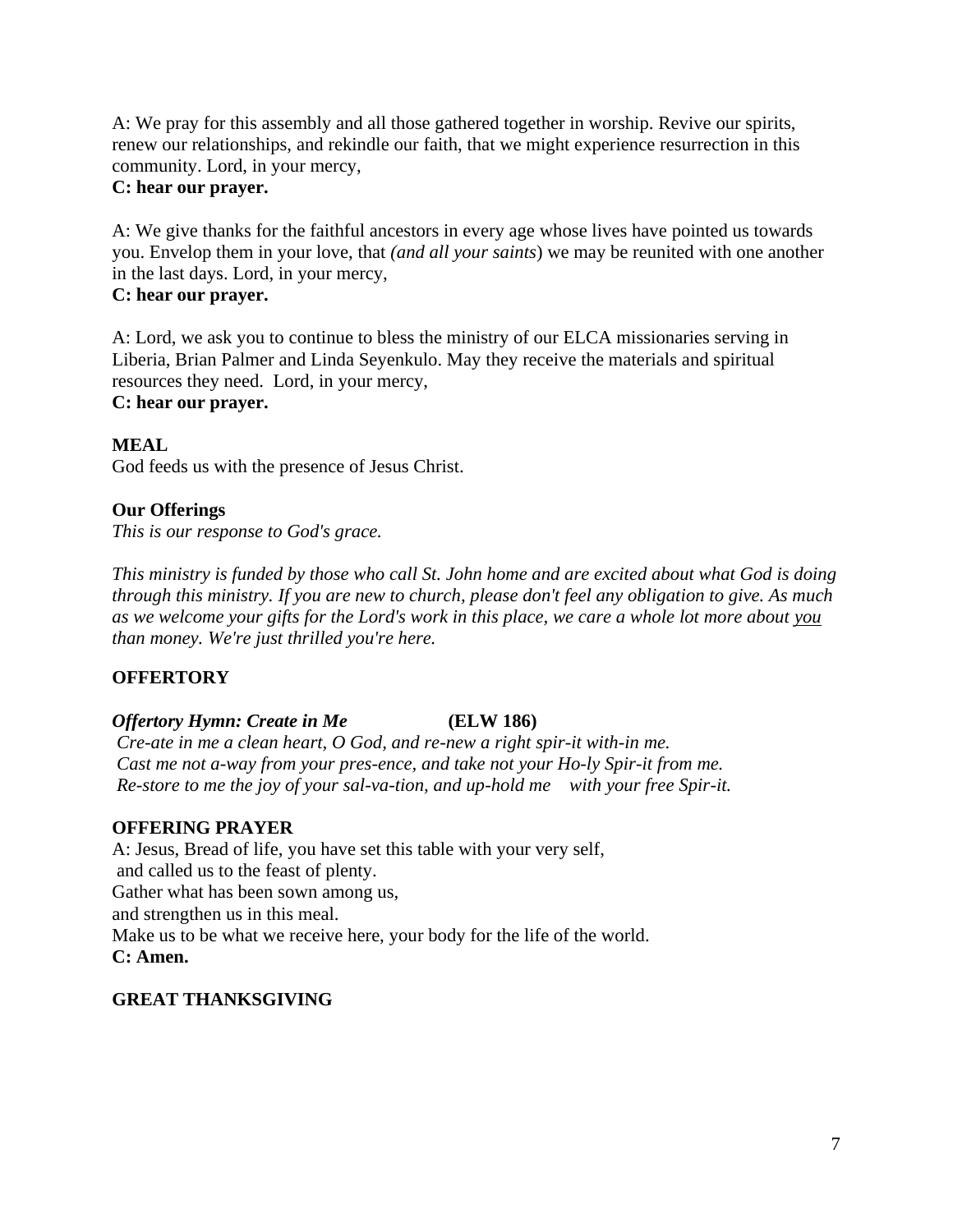A: We pray for this assembly and all those gathered together in worship. Revive our spirits, renew our relationships, and rekindle our faith, that we might experience resurrection in this community. Lord, in your mercy,

# **C: hear our prayer.**

A: We give thanks for the faithful ancestors in every age whose lives have pointed us towards you. Envelop them in your love, that *(and all your saints*) we may be reunited with one another in the last days. Lord, in your mercy,

# **C: hear our prayer.**

A: Lord, we ask you to continue to bless the ministry of our ELCA missionaries serving in Liberia, Brian Palmer and Linda Seyenkulo. May they receive the materials and spiritual resources they need. Lord, in your mercy, **C: hear our prayer.**

### **MEAL**

God feeds us with the presence of Jesus Christ.

### **Our Offerings**

*This is our response to God's grace.*

*This ministry is funded by those who call St. John home and are excited about what God is doing through this ministry. If you are new to church, please don't feel any obligation to give. As much as we welcome your gifts for the Lord's work in this place, we care a whole lot more about you than money. We're just thrilled you're here.* 

# **OFFERTORY**

# *Offertory Hymn: Create in Me* **(ELW 186)**

*Cre-ate in me a clean heart, O God, and re-new a right spir-it with-in me. Cast me not a-way from your pres-ence, and take not your Ho-ly Spir-it from me. Re-store to me the joy of your sal-va-tion, and up-hold me with your free Spir-it.*

### **OFFERING PRAYER**

A: Jesus, Bread of life, you have set this table with your very self, and called us to the feast of plenty. Gather what has been sown among us, and strengthen us in this meal. Make us to be what we receive here, your body for the life of the world. **C: Amen.**

### **GREAT THANKSGIVING**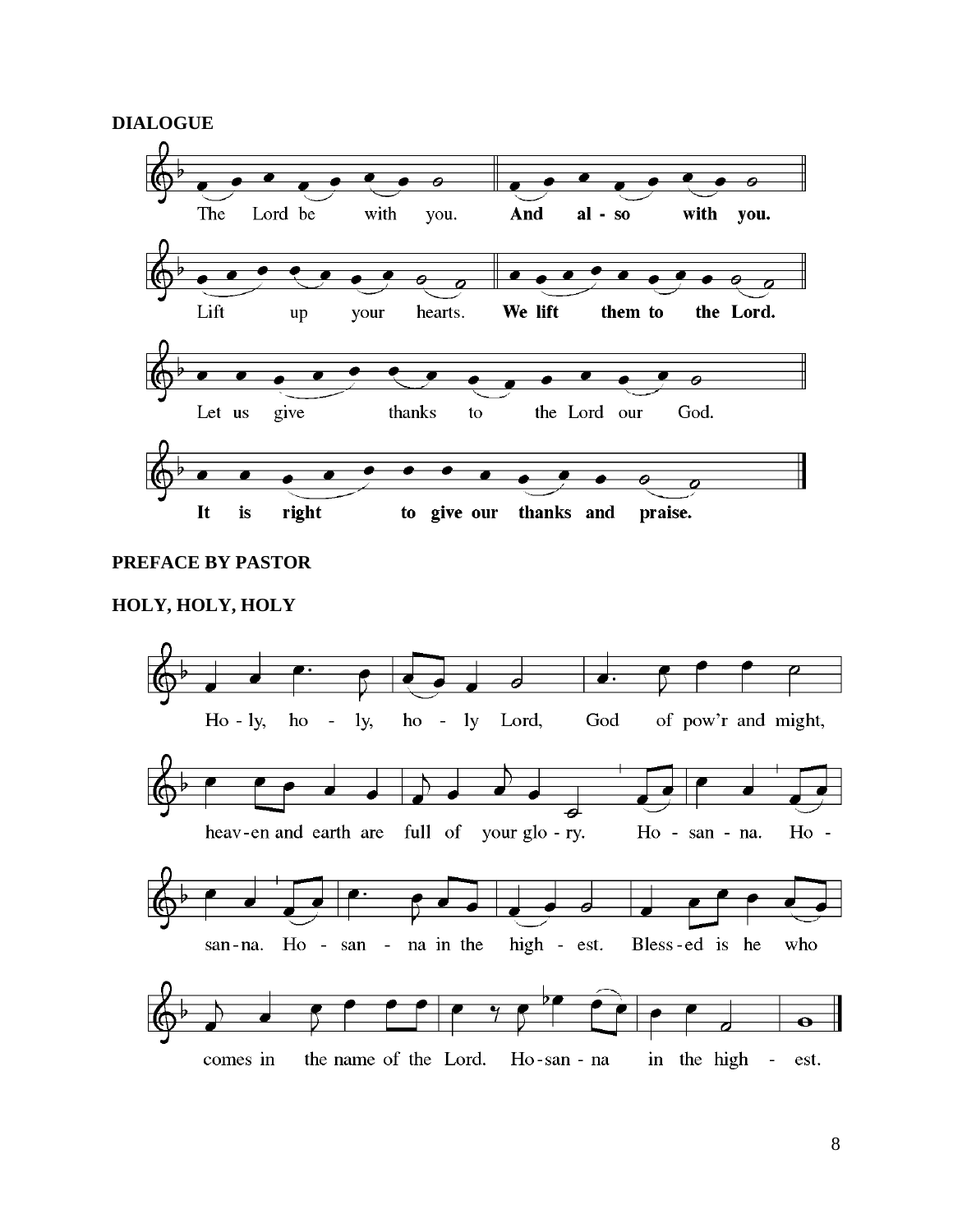**DIALOGUE**



### **PREFACE BY PASTOR**

### **HOLY, HOLY, HOLY**

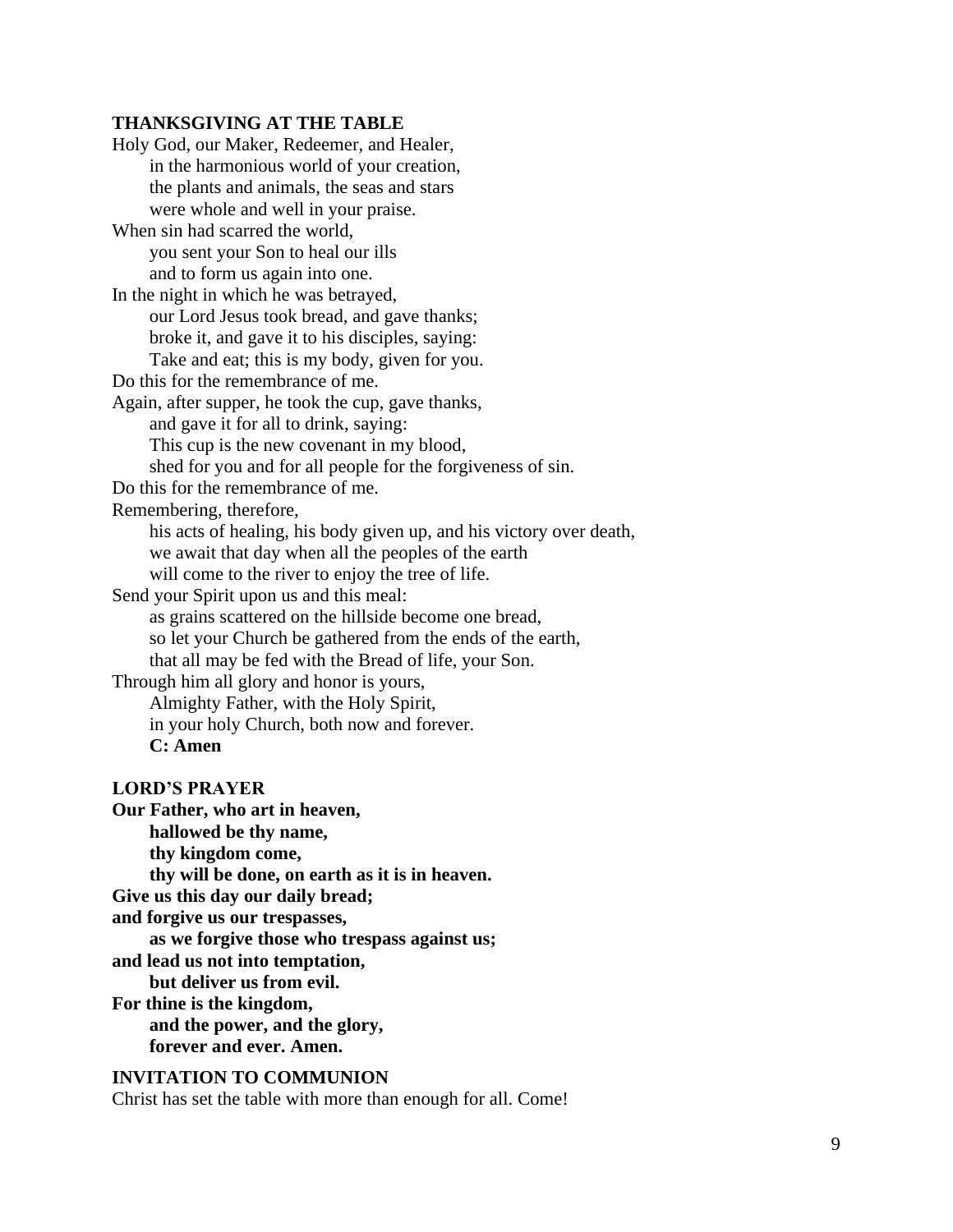### **THANKSGIVING AT THE TABLE**

Holy God, our Maker, Redeemer, and Healer, in the harmonious world of your creation, the plants and animals, the seas and stars were whole and well in your praise. When sin had scarred the world, you sent your Son to heal our ills and to form us again into one. In the night in which he was betrayed, our Lord Jesus took bread, and gave thanks; broke it, and gave it to his disciples, saying: Take and eat; this is my body, given for you. Do this for the remembrance of me. Again, after supper, he took the cup, gave thanks, and gave it for all to drink, saying: This cup is the new covenant in my blood, shed for you and for all people for the forgiveness of sin. Do this for the remembrance of me. Remembering, therefore, his acts of healing, his body given up, and his victory over death, we await that day when all the peoples of the earth will come to the river to enjoy the tree of life. Send your Spirit upon us and this meal: as grains scattered on the hillside become one bread, so let your Church be gathered from the ends of the earth, that all may be fed with the Bread of life, your Son. Through him all glory and honor is yours, Almighty Father, with the Holy Spirit, in your holy Church, both now and forever. **C: Amen LORD'S PRAYER Our Father, who art in heaven, hallowed be thy name, thy kingdom come, thy will be done, on earth as it is in heaven. Give us this day our daily bread; and forgive us our trespasses, as we forgive those who trespass against us; and lead us not into temptation, but deliver us from evil. For thine is the kingdom, and the power, and the glory, forever and ever. Amen.**

#### **INVITATION TO COMMUNION**

Christ has set the table with more than enough for all. Come!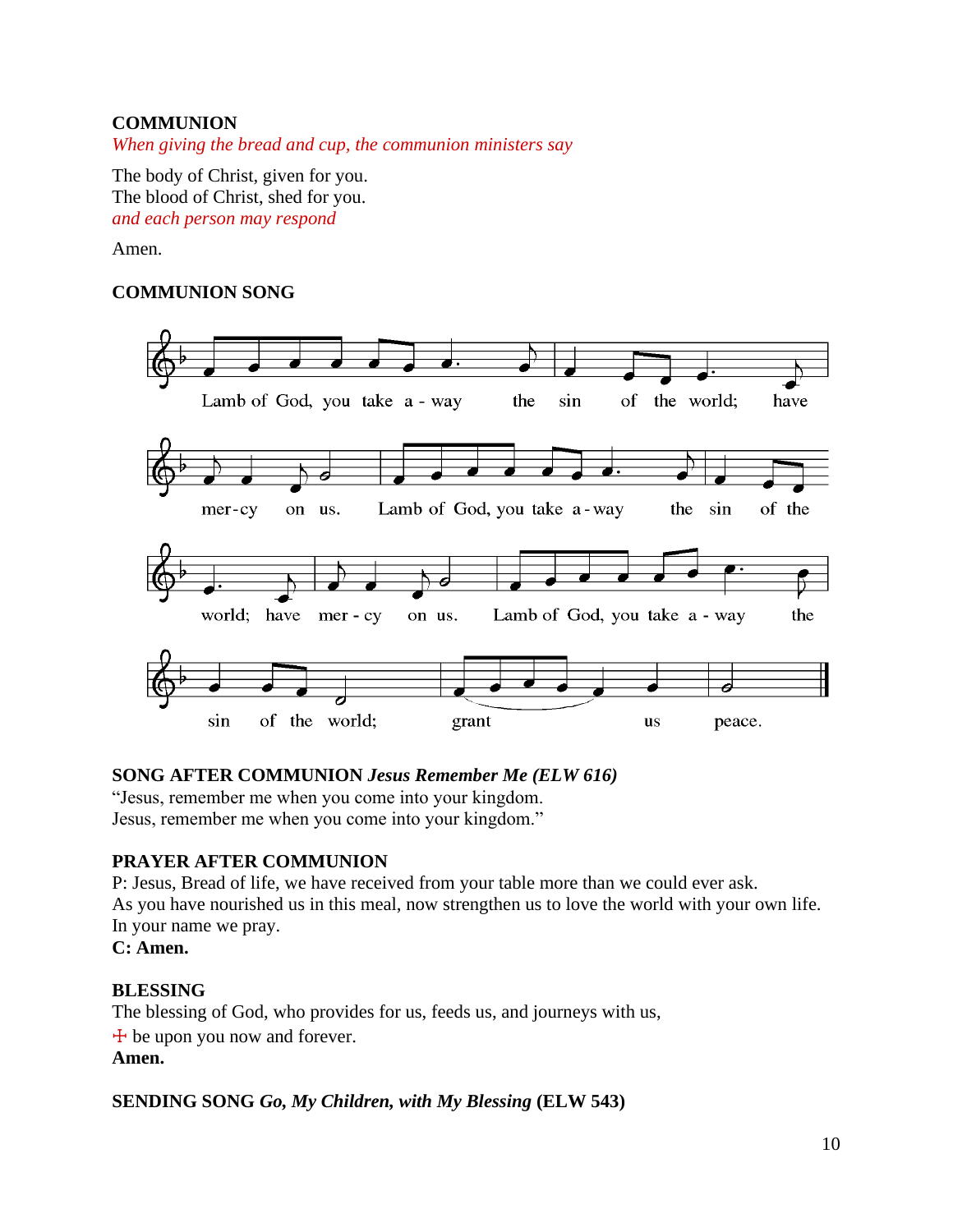# **COMMUNION**

*When giving the bread and cup, the communion ministers say*

The body of Christ, given for you. The blood of Christ, shed for you. *and each person may respond*

### Amen.

### **COMMUNION SONG**



### **SONG AFTER COMMUNION** *Jesus Remember Me (ELW 616)*

"Jesus, remember me when you come into your kingdom. Jesus, remember me when you come into your kingdom."

# **PRAYER AFTER COMMUNION**

P: Jesus, Bread of life, we have received from your table more than we could ever ask. As you have nourished us in this meal, now strengthen us to love the world with your own life. In your name we pray.

**C: Amen.**

### **BLESSING**

The blessing of God, who provides for us, feeds us, and journeys with us,  $+$  be upon you now and forever. **Amen.**

### **SENDING SONG** *Go, My Children, with My Blessing* **(ELW 543)**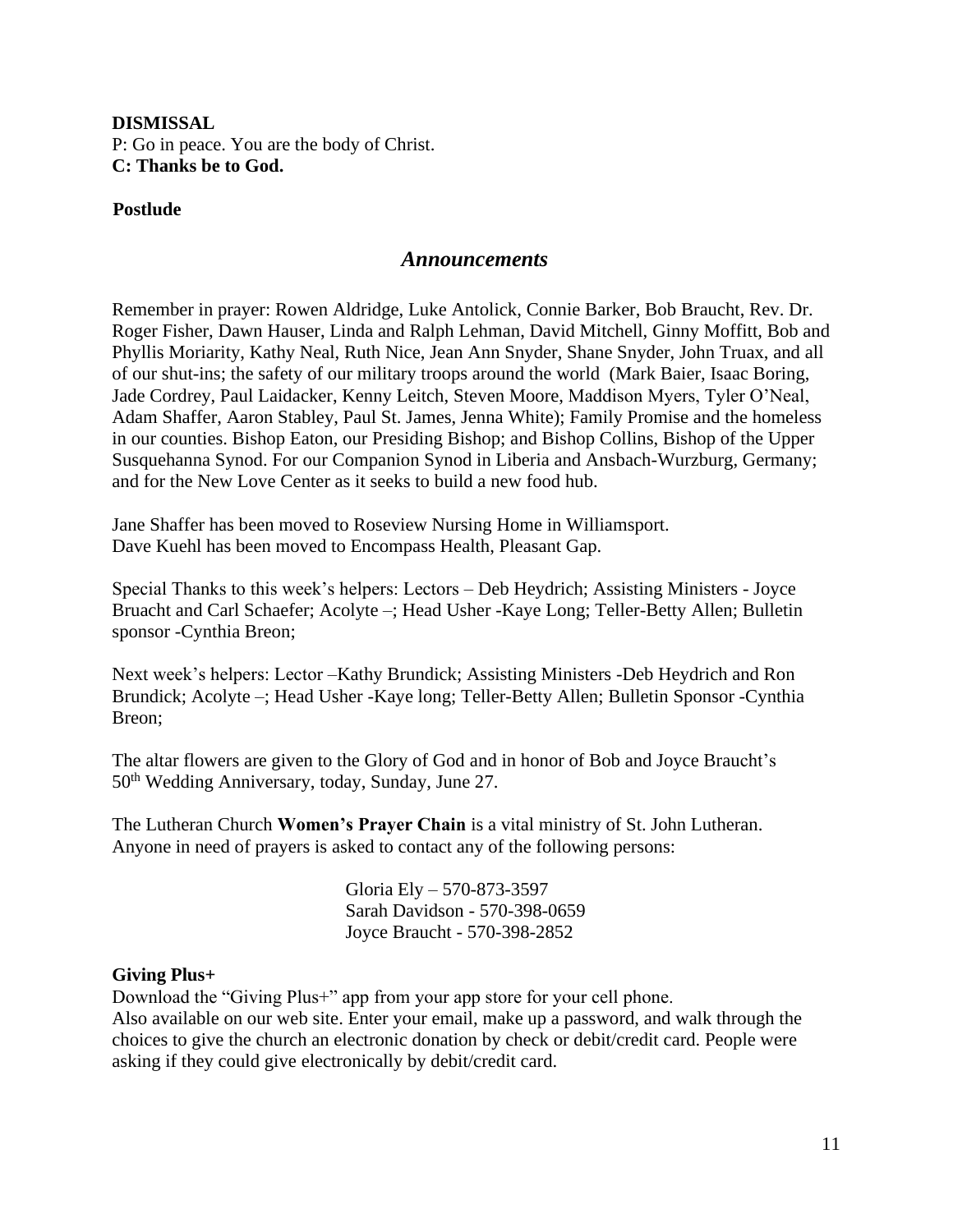# **DISMISSAL** P: Go in peace. You are the body of Christ. **C: Thanks be to God.**

### **Postlude**

### *Announcements*

Remember in prayer: Rowen Aldridge, Luke Antolick, Connie Barker, Bob Braucht, Rev. Dr. Roger Fisher, Dawn Hauser, Linda and Ralph Lehman, David Mitchell, Ginny Moffitt, Bob and Phyllis Moriarity, Kathy Neal, Ruth Nice, Jean Ann Snyder, Shane Snyder, John Truax, and all of our shut-ins; the safety of our military troops around the world (Mark Baier, Isaac Boring, Jade Cordrey, Paul Laidacker, Kenny Leitch, Steven Moore, Maddison Myers, Tyler O'Neal, Adam Shaffer, Aaron Stabley, Paul St. James, Jenna White); Family Promise and the homeless in our counties. Bishop Eaton, our Presiding Bishop; and Bishop Collins, Bishop of the Upper Susquehanna Synod. For our Companion Synod in Liberia and Ansbach-Wurzburg, Germany; and for the New Love Center as it seeks to build a new food hub.

Jane Shaffer has been moved to Roseview Nursing Home in Williamsport. Dave Kuehl has been moved to Encompass Health, Pleasant Gap.

Special Thanks to this week's helpers: Lectors – Deb Heydrich; Assisting Ministers - Joyce Bruacht and Carl Schaefer; Acolyte –; Head Usher -Kaye Long; Teller-Betty Allen; Bulletin sponsor -Cynthia Breon;

Next week's helpers: Lector –Kathy Brundick; Assisting Ministers -Deb Heydrich and Ron Brundick; Acolyte –; Head Usher -Kaye long; Teller-Betty Allen; Bulletin Sponsor -Cynthia Breon;

The altar flowers are given to the Glory of God and in honor of Bob and Joyce Braucht's 50th Wedding Anniversary, today, Sunday, June 27.

The Lutheran Church **Women's Prayer Chain** is a vital ministry of St. John Lutheran. Anyone in need of prayers is asked to contact any of the following persons:

> Gloria Ely – 570-873-3597 Sarah Davidson - 570-398-0659 Joyce Braucht - 570-398-2852

### **Giving Plus+**

Download the "Giving Plus+" app from your app store for your cell phone. Also available on our web site. Enter your email, make up a password, and walk through the choices to give the church an electronic donation by check or debit/credit card. People were asking if they could give electronically by debit/credit card.